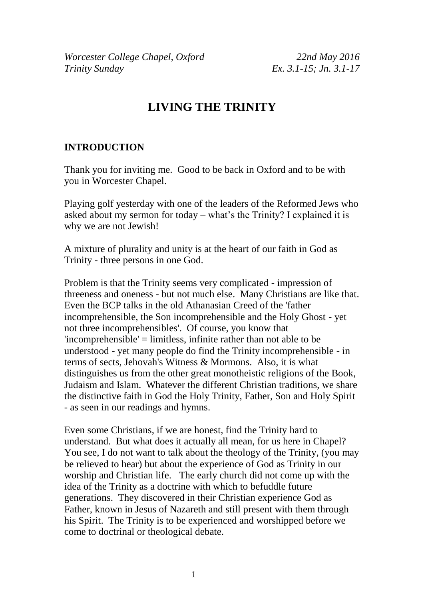*Worcester College Chapel, Oxford 22nd May 2016 Trinity Sunday Ex. 3.1-15; Jn. 3.1-17*

# **LIVING THE TRINITY**

#### **INTRODUCTION**

Thank you for inviting me. Good to be back in Oxford and to be with you in Worcester Chapel.

Playing golf yesterday with one of the leaders of the Reformed Jews who asked about my sermon for today – what's the Trinity? I explained it is why we are not Jewish!

A mixture of plurality and unity is at the heart of our faith in God as Trinity - three persons in one God.

Problem is that the Trinity seems very complicated - impression of threeness and oneness - but not much else. Many Christians are like that. Even the BCP talks in the old Athanasian Creed of the 'father incomprehensible, the Son incomprehensible and the Holy Ghost - yet not three incomprehensibles'. Of course, you know that 'incomprehensible' = limitless, infinite rather than not able to be understood - yet many people do find the Trinity incomprehensible - in terms of sects, Jehovah's Witness & Mormons. Also, it is what distinguishes us from the other great monotheistic religions of the Book, Judaism and Islam. Whatever the different Christian traditions, we share the distinctive faith in God the Holy Trinity, Father, Son and Holy Spirit - as seen in our readings and hymns.

Even some Christians, if we are honest, find the Trinity hard to understand. But what does it actually all mean, for us here in Chapel? You see, I do not want to talk about the theology of the Trinity, (you may be relieved to hear) but about the experience of God as Trinity in our worship and Christian life. The early church did not come up with the idea of the Trinity as a doctrine with which to befuddle future generations. They discovered in their Christian experience God as Father, known in Jesus of Nazareth and still present with them through his Spirit. The Trinity is to be experienced and worshipped before we come to doctrinal or theological debate.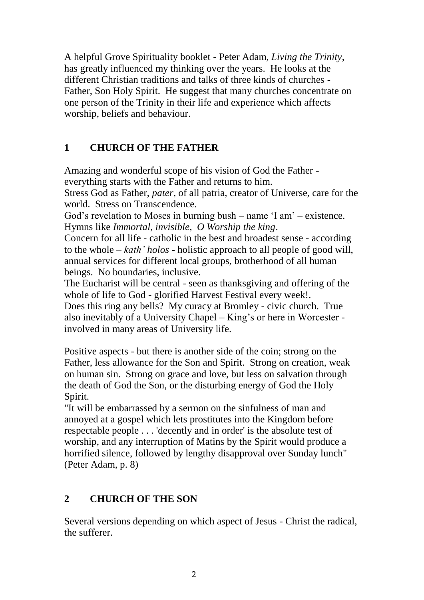A helpful Grove Spirituality booklet - Peter Adam, *Living the Trinity*, has greatly influenced my thinking over the years. He looks at the different Christian traditions and talks of three kinds of churches - Father, Son Holy Spirit. He suggest that many churches concentrate on one person of the Trinity in their life and experience which affects worship, beliefs and behaviour.

### **1 CHURCH OF THE FATHER**

Amazing and wonderful scope of his vision of God the Father everything starts with the Father and returns to him.

Stress God as Father, *pater*, of all patria, creator of Universe, care for the world. Stress on Transcendence.

God's revelation to Moses in burning bush – name 'I am' – existence. Hymns like *Immortal, invisible, O Worship the king*.

Concern for all life - catholic in the best and broadest sense - according to the whole – *kath' holos* - holistic approach to all people of good will, annual services for different local groups, brotherhood of all human beings. No boundaries, inclusive.

The Eucharist will be central - seen as thanksgiving and offering of the whole of life to God - glorified Harvest Festival every week!.

Does this ring any bells? My curacy at Bromley - civic church. True also inevitably of a University Chapel – King's or here in Worcester involved in many areas of University life.

Positive aspects - but there is another side of the coin; strong on the Father, less allowance for the Son and Spirit. Strong on creation, weak on human sin. Strong on grace and love, but less on salvation through the death of God the Son, or the disturbing energy of God the Holy Spirit.

"It will be embarrassed by a sermon on the sinfulness of man and annoyed at a gospel which lets prostitutes into the Kingdom before respectable people . . . 'decently and in order' is the absolute test of worship, and any interruption of Matins by the Spirit would produce a horrified silence, followed by lengthy disapproval over Sunday lunch" (Peter Adam, p. 8)

## **2 CHURCH OF THE SON**

Several versions depending on which aspect of Jesus - Christ the radical, the sufferer.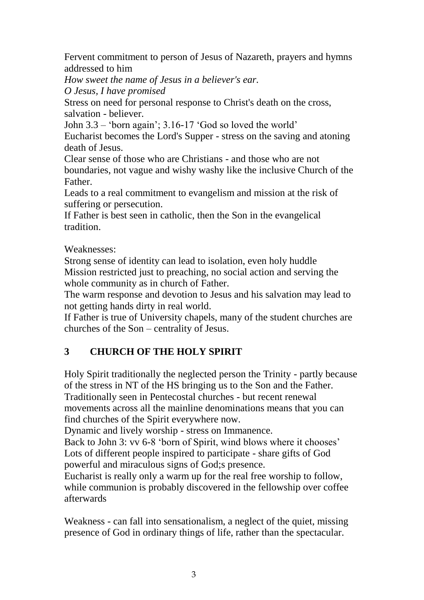Fervent commitment to person of Jesus of Nazareth, prayers and hymns addressed to him

*How sweet the name of Jesus in a believer's ear.*

*O Jesus, I have promised*

Stress on need for personal response to Christ's death on the cross, salvation - believer.

John 3.3 – 'born again'; 3.16-17 'God so loved the world'

Eucharist becomes the Lord's Supper - stress on the saving and atoning death of Jesus.

Clear sense of those who are Christians - and those who are not boundaries, not vague and wishy washy like the inclusive Church of the Father.

Leads to a real commitment to evangelism and mission at the risk of suffering or persecution.

If Father is best seen in catholic, then the Son in the evangelical tradition.

#### Weaknesses:

Strong sense of identity can lead to isolation, even holy huddle Mission restricted just to preaching, no social action and serving the whole community as in church of Father.

The warm response and devotion to Jesus and his salvation may lead to not getting hands dirty in real world.

If Father is true of University chapels, many of the student churches are churches of the Son – centrality of Jesus.

## **3 CHURCH OF THE HOLY SPIRIT**

Holy Spirit traditionally the neglected person the Trinity - partly because of the stress in NT of the HS bringing us to the Son and the Father. Traditionally seen in Pentecostal churches - but recent renewal movements across all the mainline denominations means that you can find churches of the Spirit everywhere now.

Dynamic and lively worship - stress on Immanence.

Back to John 3: vv 6-8 'born of Spirit, wind blows where it chooses' Lots of different people inspired to participate - share gifts of God powerful and miraculous signs of God;s presence.

Eucharist is really only a warm up for the real free worship to follow, while communion is probably discovered in the fellowship over coffee afterwards

Weakness - can fall into sensationalism, a neglect of the quiet, missing presence of God in ordinary things of life, rather than the spectacular.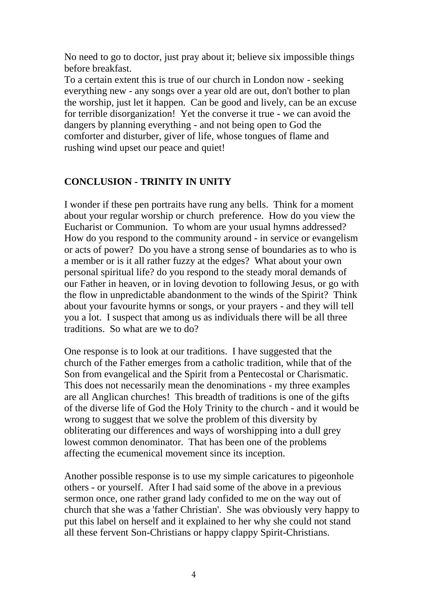No need to go to doctor, just pray about it; believe six impossible things before breakfast.

To a certain extent this is true of our church in London now - seeking everything new - any songs over a year old are out, don't bother to plan the worship, just let it happen. Can be good and lively, can be an excuse for terrible disorganization! Yet the converse it true - we can avoid the dangers by planning everything - and not being open to God the comforter and disturber, giver of life, whose tongues of flame and rushing wind upset our peace and quiet!

#### **CONCLUSION - TRINITY IN UNITY**

I wonder if these pen portraits have rung any bells. Think for a moment about your regular worship or church preference. How do you view the Eucharist or Communion. To whom are your usual hymns addressed? How do you respond to the community around - in service or evangelism or acts of power? Do you have a strong sense of boundaries as to who is a member or is it all rather fuzzy at the edges? What about your own personal spiritual life? do you respond to the steady moral demands of our Father in heaven, or in loving devotion to following Jesus, or go with the flow in unpredictable abandonment to the winds of the Spirit? Think about your favourite hymns or songs, or your prayers - and they will tell you a lot. I suspect that among us as individuals there will be all three traditions. So what are we to do?

One response is to look at our traditions. I have suggested that the church of the Father emerges from a catholic tradition, while that of the Son from evangelical and the Spirit from a Pentecostal or Charismatic. This does not necessarily mean the denominations - my three examples are all Anglican churches! This breadth of traditions is one of the gifts of the diverse life of God the Holy Trinity to the church - and it would be wrong to suggest that we solve the problem of this diversity by obliterating our differences and ways of worshipping into a dull grey lowest common denominator. That has been one of the problems affecting the ecumenical movement since its inception.

Another possible response is to use my simple caricatures to pigeonhole others - or yourself. After I had said some of the above in a previous sermon once, one rather grand lady confided to me on the way out of church that she was a 'father Christian'. She was obviously very happy to put this label on herself and it explained to her why she could not stand all these fervent Son-Christians or happy clappy Spirit-Christians.